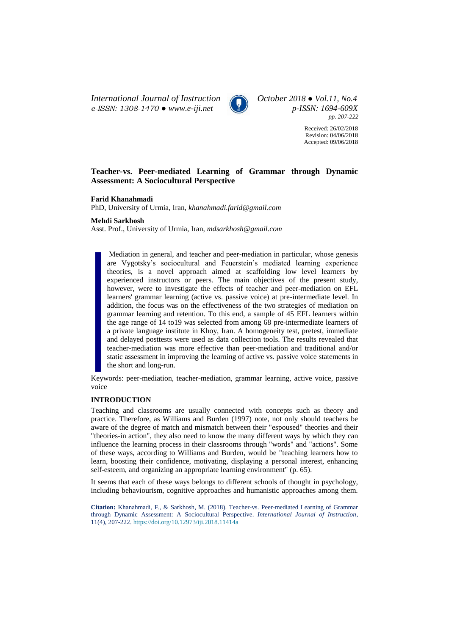*International Journal of Instruction October 2018 ● Vol.11, No.4 e-ISSN: 1308-1470 ● [www.e-iji.net](http://www.e-iji.net/) p-ISSN: 1694-609X*



*pp. 207-222*

Received: 26/02/2018 Revision: 04/06/2018 Accepted: 09/06/2018

# **Teacher-vs. Peer-mediated Learning of Grammar through Dynamic Assessment: A Sociocultural Perspective**

#### **Farid Khanahmadi**

PhD, University of Urmia, Iran, *[khanahmadi.farid@gmail.com](mailto:khanahmadi.farid@gmail.com)*

# **Mehdi Sarkhosh**

Asst. Prof., University of Urmia, Iran, *[mdsarkhosh@gmail.com](mailto:mdsarkhosh@gmail.com)*

Mediation in general, and teacher and peer-mediation in particular, whose genesis are Vygotsky's sociocultural and Feuerstein's mediated learning experience theories, is a novel approach aimed at scaffolding low level learners by experienced instructors or peers. The main objectives of the present study, however, were to investigate the effects of teacher and peer-mediation on EFL learners' grammar learning (active vs. passive voice) at pre-intermediate level. In addition, the focus was on the effectiveness of the two strategies of mediation on grammar learning and retention. To this end, a sample of 45 EFL learners within the age range of 14 to19 was selected from among 68 pre-intermediate learners of a private language institute in Khoy, Iran. A homogeneity test, pretest, immediate and delayed posttests were used as data collection tools. The results revealed that teacher-mediation was more effective than peer-mediation and traditional and/or static assessment in improving the learning of active vs. passive voice statements in the short and long-run.

Keywords: peer-mediation, teacher-mediation, grammar learning, active voice, passive voice

# **INTRODUCTION**

Teaching and classrooms are usually connected with concepts such as theory and practice. Therefore, as Williams and Burden (1997) note, not only should teachers be aware of the degree of match and mismatch between their "espoused" theories and their "theories-in action", they also need to know the many different ways by which they can influence the learning process in their classrooms through "words" and "actions". Some of these ways, according to Williams and Burden, would be "teaching learners how to learn, boosting their confidence, motivating, displaying a personal interest, enhancing self-esteem, and organizing an appropriate learning environment" (p. 65).

It seems that each of these ways belongs to different schools of thought in psychology, including behaviourism, cognitive approaches and humanistic approaches among them.

**Citation:** Khanahmadi, F., & Sarkhosh, M. (2018). Teacher-vs. Peer-mediated Learning of Grammar through Dynamic Assessment: A Sociocultural Perspective. *International Journal of Instruction*, 11(4), 207-222. <https://doi.org/10.12973/iji.2018.11414a>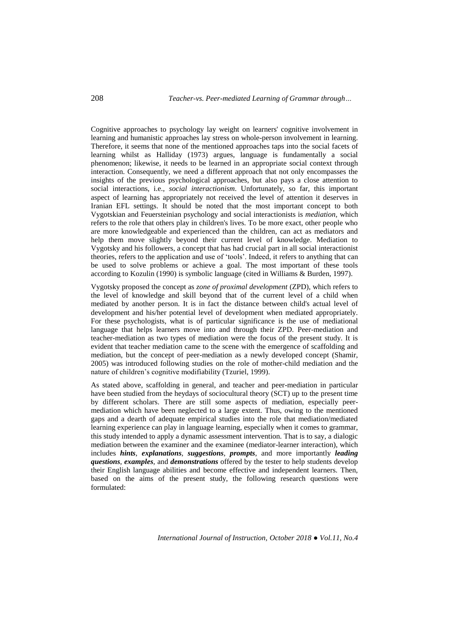Cognitive approaches to psychology lay weight on learners' cognitive involvement in learning and humanistic approaches lay stress on whole-person involvement in learning. Therefore, it seems that none of the mentioned approaches taps into the social facets of learning whilst as Halliday (1973) argues, language is fundamentally a social phenomenon; likewise, it needs to be learned in an appropriate social context through interaction. Consequently, we need a different approach that not only encompasses the insights of the previous psychological approaches, but also pays a close attention to social interactions, i.e., *social interactionism*. Unfortunately, so far, this important aspect of learning has appropriately not received the level of attention it deserves in Iranian EFL settings. It should be noted that the most important concept to both Vygotskian and Feuersteinian psychology and social interactionists is *mediation,* which refers to the role that others play in children's lives. To be more exact, other people who are more knowledgeable and experienced than the children, can act as mediators and help them move slightly beyond their current level of knowledge. Mediation to Vygotsky and his followers, a concept that has had crucial part in all social interactionist theories, refers to the application and use of 'tools'. Indeed, it refers to anything that can be used to solve problems or achieve a goal. The most important of these tools according to Kozulin (1990) is symbolic language (cited in Williams & Burden, 1997).

Vygotsky proposed the concept as *zone of proximal development* (ZPD), which refers to the level of knowledge and skill beyond that of the current level of a child when mediated by another person. It is in fact the distance between child's actual level of development and his/her potential level of development when mediated appropriately. For these psychologists, what is of particular significance is the use of mediational language that helps learners move into and through their ZPD. Peer-mediation and teacher-mediation as two types of mediation were the focus of the present study. It is evident that teacher mediation came to the scene with the emergence of scaffolding and mediation, but the concept of peer-mediation as a newly developed concept (Shamir, 2005) was introduced following studies on the role of mother-child mediation and the nature of children's cognitive modifiability (Tzuriel, 1999).

As stated above, scaffolding in general, and teacher and peer-mediation in particular have been studied from the heydays of sociocultural theory (SCT) up to the present time by different scholars. There are still some aspects of mediation, especially peermediation which have been neglected to a large extent. Thus, owing to the mentioned gaps and a dearth of adequate empirical studies into the role that mediation/mediated learning experience can play in language learning, especially when it comes to grammar, this study intended to apply a dynamic assessment intervention. That is to say, a dialogic mediation between the examiner and the examinee (mediator-learner interaction), which includes *hints*, *explanations*, *suggestions*, *prompts*, and more importantly *leading questions*, *examples*, and *demonstrations* offered by the tester to help students develop their English language abilities and become effective and independent learners. Then, based on the aims of the present study, the following research questions were formulated: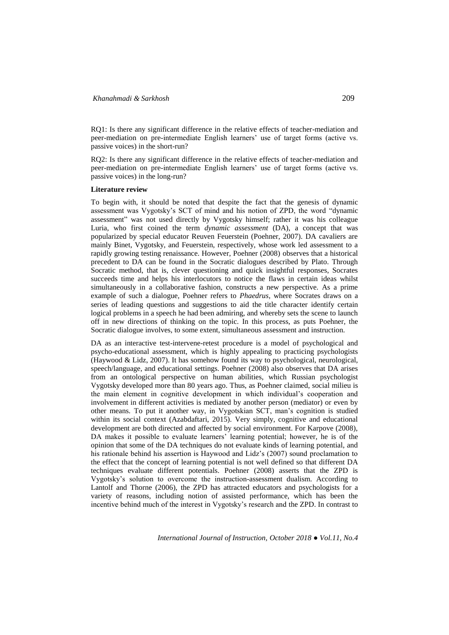RQ1: Is there any significant difference in the relative effects of teacher-mediation and peer-mediation on pre-intermediate English learners' use of target forms (active vs. passive voices) in the short-run?

RQ2: Is there any significant difference in the relative effects of teacher-mediation and peer-mediation on pre-intermediate English learners' use of target forms (active vs. passive voices) in the long-run?

#### **Literature review**

To begin with, it should be noted that despite the fact that the genesis of dynamic assessment was Vygotsky's SCT of mind and his notion of ZPD, the word "dynamic assessment" was not used directly by Vygotsky himself; rather it was his colleague Luria, who first coined the term *dynamic assessment* (DA), a concept that was popularized by special educator Reuven Feuerstein (Poehner, 2007). DA cavaliers are mainly Binet, Vygotsky, and Feuerstein, respectively, whose work led assessment to a rapidly growing testing renaissance. However, Poehner (2008) observes that a historical precedent to DA can be found in the Socratic dialogues described by Plato. Through Socratic method, that is, clever questioning and quick insightful responses, Socrates succeeds time and helps his interlocutors to notice the flaws in certain ideas whilst simultaneously in a collaborative fashion, constructs a new perspective. As a prime example of such a dialogue, Poehner refers to *Phaedrus*, where Socrates draws on a series of leading questions and suggestions to aid the title character identify certain logical problems in a speech he had been admiring, and whereby sets the scene to launch off in new directions of thinking on the topic. In this process, as puts Poehner, the Socratic dialogue involves, to some extent, simultaneous assessment and instruction.

DA as an interactive test-intervene-retest procedure is a model of psychological and psycho-educational assessment, which is highly appealing to practicing psychologists (Haywood & Lidz, 2007). It has somehow found its way to psychological, neurological, speech/language, and educational settings. Poehner (2008) also observes that DA arises from an ontological perspective on human abilities, which Russian psychologist Vygotsky developed more than 80 years ago. Thus, as Poehner claimed, social milieu is the main element in cognitive development in which individual's cooperation and involvement in different activities is mediated by another person (mediator) or even by other means. To put it another way, in Vygotskian SCT, man's cognition is studied within its social context (Azabdaftari, 2015). Very simply, cognitive and educational development are both directed and affected by social environment. For Karpove (2008), DA makes it possible to evaluate learners' learning potential; however, he is of the opinion that some of the DA techniques do not evaluate kinds of learning potential, and his rationale behind his assertion is Haywood and Lidz's (2007) sound proclamation to the effect that the concept of learning potential is not well defined so that different DA techniques evaluate different potentials. Poehner (2008) asserts that the ZPD is Vygotsky's solution to overcome the instruction-assessment dualism. According to Lantolf and Thorne (2006), the ZPD has attracted educators and psychologists for a variety of reasons, including notion of assisted performance, which has been the incentive behind much of the interest in Vygotsky's research and the ZPD. In contrast to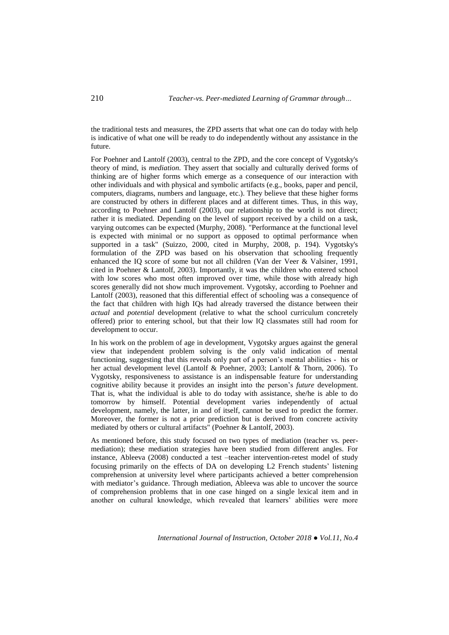the traditional tests and measures, the ZPD asserts that what one can do today with help is indicative of what one will be ready to do independently without any assistance in the future.

For Poehner and Lantolf (2003), central to the ZPD, and the core concept of Vygotsky's theory of mind, is *mediation.* They assert that socially and culturally derived forms of thinking are of higher forms which emerge as a consequence of our interaction with other individuals and with physical and symbolic artifacts (e.g., books, paper and pencil, computers, diagrams, numbers and language, etc.). They believe that these higher forms are constructed by others in different places and at different times. Thus, in this way, according to Poehner and Lantolf (2003), our relationship to the world is not direct; rather it is mediated*.* Depending on the level of support received by a child on a task, varying outcomes can be expected (Murphy, 2008). "Performance at the functional level is expected with minimal or no support as opposed to optimal performance when supported in a task" (Suizzo, 2000, cited in Murphy, 2008, p. 194). Vygotsky's formulation of the ZPD was based on his observation that schooling frequently enhanced the IQ score of some but not all children (Van der Veer & Valsiner, 1991, cited in Poehner & Lantolf, 2003). Importantly, it was the children who entered school with low scores who most often improved over time, while those with already high scores generally did not show much improvement. Vygotsky, according to Poehner and Lantolf (2003), reasoned that this differential effect of schooling was a consequence of the fact that children with high IQs had already traversed the distance between their *actual* and *potential* development (relative to what the school curriculum concretely offered) prior to entering school, but that their low IQ classmates still had room for development to occur.

In his work on the problem of age in development, Vygotsky argues against the general view that independent problem solving is the only valid indication of mental functioning, suggesting that this reveals only part of a person's mental abilities - his or her actual development level (Lantolf & Poehner, 2003; Lantolf & Thorn, 2006). To Vygotsky, responsiveness to assistance is an indispensable feature for understanding cognitive ability because it provides an insight into the person's *future* development. That is, what the individual is able to do today with assistance, she/he is able to do tomorrow by himself. Potential development varies independently of actual development, namely, the latter, in and of itself, cannot be used to predict the former. Moreover, the former is not a prior prediction but is derived from concrete activity mediated by others or cultural artifacts" (Poehner & Lantolf, 2003).

As mentioned before, this study focused on two types of mediation (teacher vs. peermediation); these mediation strategies have been studied from different angles. For instance, Ableeva (2008) conducted a test –teacher intervention-retest model of study focusing primarily on the effects of DA on developing L2 French students' listening comprehension at university level where participants achieved a better comprehension with mediator's guidance. Through mediation, Ableeva was able to uncover the source of comprehension problems that in one case hinged on a single lexical item and in another on cultural knowledge, which revealed that learners' abilities were more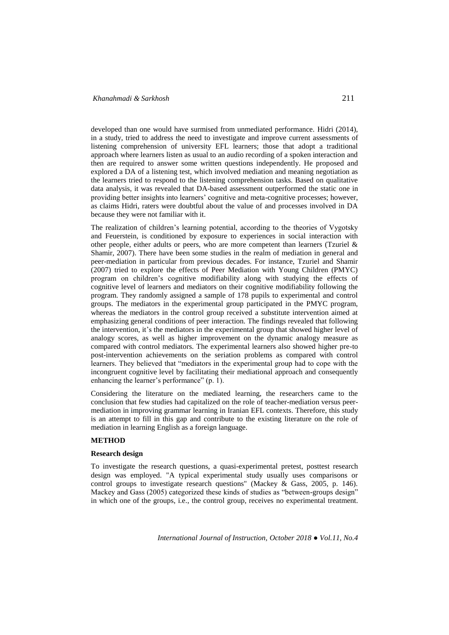developed than one would have surmised from unmediated performance. Hidri (2014), in a study, tried to address the need to investigate and improve current assessments of listening comprehension of university EFL learners; those that adopt a traditional approach where learners listen as usual to an audio recording of a spoken interaction and then are required to answer some written questions independently. He proposed and explored a DA of a listening test, which involved mediation and meaning negotiation as the learners tried to respond to the listening comprehension tasks. Based on qualitative data analysis, it was revealed that DA-based assessment outperformed the static one in providing better insights into learners' cognitive and meta-cognitive processes; however, as claims Hidri, raters were doubtful about the value of and processes involved in DA because they were not familiar with it.

The realization of children's learning potential, according to the theories of Vygotsky and Feuerstein, is conditioned by exposure to experiences in social interaction with other people, either adults or peers, who are more competent than learners (Tzuriel  $\&$ Shamir, 2007). There have been some studies in the realm of mediation in general and peer-mediation in particular from previous decades. For instance, Tzuriel and Shamir (2007) tried to explore the effects of Peer Mediation with Young Children (PMYC) program on children's cognitive modifiability along with studying the effects of cognitive level of learners and mediators on their cognitive modifiability following the program. They randomly assigned a sample of 178 pupils to experimental and control groups. The mediators in the experimental group participated in the PMYC program, whereas the mediators in the control group received a substitute intervention aimed at emphasizing general conditions of peer interaction. The findings revealed that following the intervention, it's the mediators in the experimental group that showed higher level of analogy scores, as well as higher improvement on the dynamic analogy measure as compared with control mediators. The experimental learners also showed higher pre-to post-intervention achievements on the seriation problems as compared with control learners. They believed that "mediators in the experimental group had to cope with the incongruent cognitive level by facilitating their mediational approach and consequently enhancing the learner's performance" (p. 1).

Considering the literature on the mediated learning, the researchers came to the conclusion that few studies had capitalized on the role of teacher-mediation versus peermediation in improving grammar learning in Iranian EFL contexts. Therefore, this study is an attempt to fill in this gap and contribute to the existing literature on the role of mediation in learning English as a foreign language.

# **METHOD**

## **Research design**

To investigate the research questions, a quasi-experimental pretest, posttest research design was employed. "A typical experimental study usually uses comparisons or control groups to investigate research questions" (Mackey & Gass, 2005, p. 146). Mackey and Gass (2005) categorized these kinds of studies as "between-groups design" in which one of the groups, i.e., the control group, receives no experimental treatment.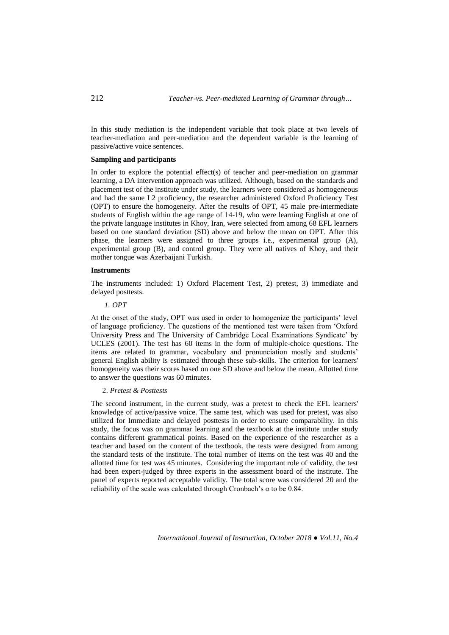In this study mediation is the independent variable that took place at two levels of teacher-mediation and peer-mediation and the dependent variable is the learning of passive/active voice sentences.

## **Sampling and participants**

In order to explore the potential effect(s) of teacher and peer-mediation on grammar learning, a DA intervention approach was utilized. Although, based on the standards and placement test of the institute under study, the learners were considered as homogeneous and had the same L2 proficiency, the researcher administered Oxford Proficiency Test (OPT) to ensure the homogeneity. After the results of OPT, 45 male pre-intermediate students of English within the age range of 14-19, who were learning English at one of the private language institutes in Khoy, Iran, were selected from among 68 EFL learners based on one standard deviation (SD) above and below the mean on OPT. After this phase, the learners were assigned to three groups i.e., experimental group (A), experimental group (B), and control group. They were all natives of Khoy, and their mother tongue was Azerbaijani Turkish.

#### **Instruments**

The instruments included: 1) Oxford Placement Test, 2) pretest, 3) immediate and delayed posttests.

# *1. OPT*

At the onset of the study, OPT was used in order to homogenize the participants' level of language proficiency. The questions of the mentioned test were taken from 'Oxford University Press and The University of Cambridge Local Examinations Syndicate' by UCLES (2001). The test has 60 items in the form of multiple-choice questions. The items are related to grammar, vocabulary and pronunciation mostly and students' general English ability is estimated through these sub-skills. The criterion for learners' homogeneity was their scores based on one SD above and below the mean. Allotted time to answer the questions was 60 minutes.

# 2. *Pretest & Posttests*

The second instrument, in the current study, was a pretest to check the EFL learners' knowledge of active/passive voice. The same test, which was used for pretest, was also utilized for Immediate and delayed posttests in order to ensure comparability. In this study, the focus was on grammar learning and the textbook at the institute under study contains different grammatical points. Based on the experience of the researcher as a teacher and based on the content of the textbook, the tests were designed from among the standard tests of the institute. The total number of items on the test was 40 and the allotted time for test was 45 minutes. Considering the important role of validity, the test had been expert-judged by three experts in the assessment board of the institute. The panel of experts reported acceptable validity. The total score was considered 20 and the reliability of the scale was calculated through Cronbach's  $\alpha$  to be 0.84.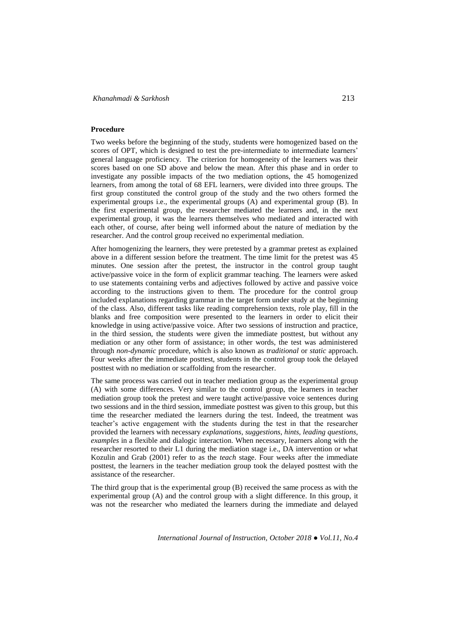## **Procedure**

Two weeks before the beginning of the study, students were homogenized based on the scores of OPT, which is designed to test the pre-intermediate to intermediate learners' general language proficiency. The criterion for homogeneity of the learners was their scores based on one SD above and below the mean. After this phase and in order to investigate any possible impacts of the two mediation options, the 45 homogenized learners, from among the total of 68 EFL learners, were divided into three groups. The first group constituted the control group of the study and the two others formed the experimental groups i.e., the experimental groups (A) and experimental group (B). In the first experimental group, the researcher mediated the learners and, in the next experimental group, it was the learners themselves who mediated and interacted with each other, of course, after being well informed about the nature of mediation by the researcher. And the control group received no experimental mediation.

After homogenizing the learners, they were pretested by a grammar pretest as explained above in a different session before the treatment. The time limit for the pretest was 45 minutes. One session after the pretest, the instructor in the control group taught active/passive voice in the form of explicit grammar teaching. The learners were asked to use statements containing verbs and adjectives followed by active and passive voice according to the instructions given to them. The procedure for the control group included explanations regarding grammar in the target form under study at the beginning of the class. Also, different tasks like reading comprehension texts, role play, fill in the blanks and free composition were presented to the learners in order to elicit their knowledge in using active/passive voice. After two sessions of instruction and practice, in the third session, the students were given the immediate posttest, but without any mediation or any other form of assistance; in other words, the test was administered through *non-dynamic* procedure, which is also known as *traditional* or *static* approach. Four weeks after the immediate posttest, students in the control group took the delayed posttest with no mediation or scaffolding from the researcher.

The same process was carried out in teacher mediation group as the experimental group (A) with some differences. Very similar to the control group, the learners in teacher mediation group took the pretest and were taught active/passive voice sentences during two sessions and in the third session, immediate posttest was given to this group, but this time the researcher mediated the learners during the test. Indeed, the treatment was teacher's active engagement with the students during the test in that the researcher provided the learners with necessary *explanations*, *suggestions*, *hints, leading questions, examples* in a flexible and dialogic interaction. When necessary, learners along with the researcher resorted to their L1 during the mediation stage i.e., DA intervention or what Kozulin and Grab (2001) refer to as the *teach* stage. Four weeks after the immediate posttest, the learners in the teacher mediation group took the delayed posttest with the assistance of the researcher.

The third group that is the experimental group (B) received the same process as with the experimental group (A) and the control group with a slight difference. In this group, it was not the researcher who mediated the learners during the immediate and delayed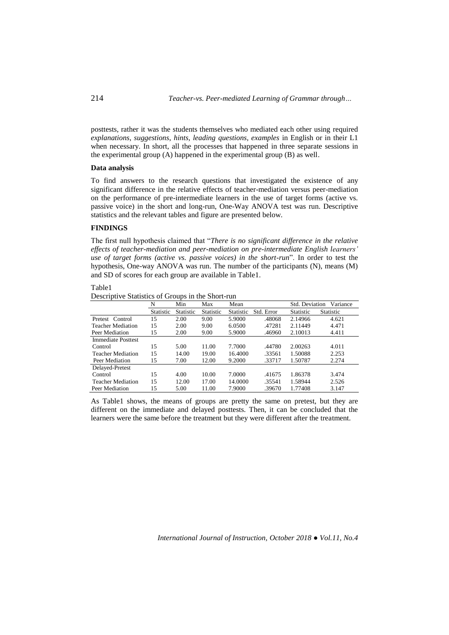214 *Teacher-vs. Peer-mediated Learning of Grammar through…*

posttests, rather it was the students themselves who mediated each other using required *explanations*, *suggestions*, *hints, leading questions, examples* in English or in their L1 when necessary. In short, all the processes that happened in three separate sessions in the experimental group (A) happened in the experimental group (B) as well.

#### **Data analysis**

To find answers to the research questions that investigated the existence of any significant difference in the relative effects of teacher-mediation versus peer-mediation on the performance of pre-intermediate learners in the use of target forms (active vs. passive voice) in the short and long-run, One-Way ANOVA test was run. Descriptive statistics and the relevant tables and figure are presented below.

# **FINDINGS**

The first null hypothesis claimed that "*There is no significant difference in the relative effects of teacher-mediation and peer-mediation on pre-intermediate English learners' use of target forms (active vs. passive voices) in the short-run*". In order to test the hypothesis, One-way ANOVA was run. The number of the participants (N), means (M) and SD of scores for each group are available in Table1.

## Table1

Descriptive Statistics of Groups in the Short-run

|                           | N         | Min       | Max              | Mean      |            | Std. Deviation | Variance         |
|---------------------------|-----------|-----------|------------------|-----------|------------|----------------|------------------|
|                           | Statistic | Statistic | <b>Statistic</b> | Statistic | Std. Error | Statistic      | <b>Statistic</b> |
| Pretest Control           | 15        | 2.00      | 9.00             | 5.9000    | .48068     | 2.14966        | 4.621            |
| <b>Teacher Mediation</b>  | 15        | 2.00      | 9.00             | 6.0500    | .47281     | 2.11449        | 4.471            |
| Peer Mediation            | 15        | 2.00      | 9.00             | 5.9000    | .46960     | 2.10013        | 4.411            |
| <b>Immediate Posttest</b> |           |           |                  |           |            |                |                  |
| Control                   | 15        | 5.00      | 11.00            | 7.7000    | .44780     | 2.00263        | 4.011            |
| <b>Teacher Mediation</b>  | 15        | 14.00     | 19.00            | 16.4000   | .33561     | 1.50088        | 2.253            |
| Peer Mediation            | 15        | 7.00      | 12.00            | 9.2000    | .33717     | 1.50787        | 2.274            |
| Delayed-Pretest           |           |           |                  |           |            |                |                  |
| Control                   | 15        | 4.00      | 10.00            | 7.0000    | .41675     | 1.86378        | 3.474            |
| <b>Teacher Mediation</b>  | 15        | 12.00     | 17.00            | 14.0000   | .35541     | 1.58944        | 2.526            |
| Peer Mediation            | 15        | 5.00      | 11.00            | 7.9000    | .39670     | 1.77408        | 3.147            |

As Table1 shows, the means of groups are pretty the same on pretest, but they are different on the immediate and delayed posttests. Then, it can be concluded that the learners were the same before the treatment but they were different after the treatment.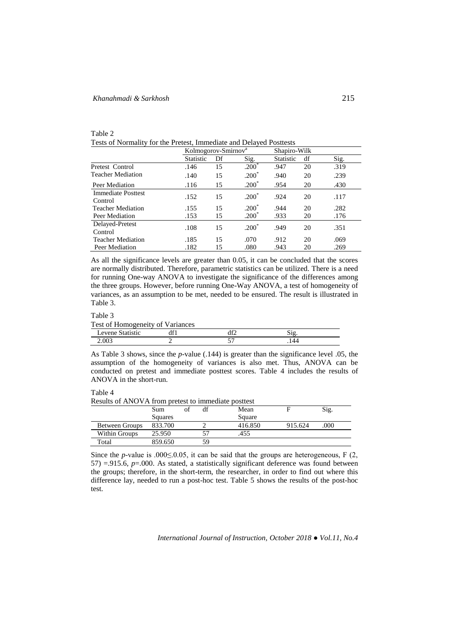# *Khanahmadi & Sarkhosh* 215

table 2

| Table 2                                                             |  |  |
|---------------------------------------------------------------------|--|--|
| Tests of Normality for the Pretest, Immediate and Delayed Posttests |  |  |

|                                      | Kolmogorov-Smirnov <sup>a</sup> |    |         | Shapiro-Wilk     |    |      |
|--------------------------------------|---------------------------------|----|---------|------------------|----|------|
|                                      | <b>Statistic</b>                | Df | Sig.    | <b>Statistic</b> | df | Sig. |
| Pretest Control                      | .146                            | 15 | $.200*$ | .947             | 20 | .319 |
| <b>Teacher Mediation</b>             | .140                            | 15 | $.200*$ | .940             | 20 | .239 |
| Peer Mediation                       | .116                            | 15 | $.200*$ | .954             | 20 | .430 |
| <b>Immediate Posttest</b><br>Control | .152                            | 15 | $.200*$ | .924             | 20 | .117 |
| <b>Teacher Mediation</b>             | .155                            | 15 | $.200*$ | .944             | 20 | .282 |
| Peer Mediation                       | .153                            | 15 | $.200*$ | .933             | 20 | .176 |
| Delayed-Pretest<br>Control           | .108                            | 15 | $.200*$ | .949             | 20 | .351 |
| <b>Teacher Mediation</b>             | .185                            | 15 | .070    | .912             | 20 | .069 |
| Peer Mediation                       | .182                            | 15 | .080    | .943             | 20 | .269 |

As all the significance levels are greater than 0.05, it can be concluded that the scores are normally distributed. Therefore, parametric statistics can be utilized. There is a need for running One-way ANOVA to investigate the significance of the differences among the three groups. However, before running One-Way ANOVA, a test of homogeneity of variances, as an assumption to be met, needed to be ensured. The result is illustrated in Table 3.

#### Table 3

Test of Homogeneity of Variances

| $APV^{\alpha*}$ | $\overline{\phantom{a}}$<br>. |  |
|-----------------|-------------------------------|--|
| $0^{\circ}$     |                               |  |

As Table 3 shows, since the *p*-value (.144) is greater than the significance level .05, the assumption of the homogeneity of variances is also met. Thus, ANOVA can be conducted on pretest and immediate posttest scores. Table 4 includes the results of ANOVA in the short-run.

# Table 4

Results of ANOVA from pretest to immediate posttest

|                       | Sum     | Ωt | df | Mean    |         | Sig. |
|-----------------------|---------|----|----|---------|---------|------|
|                       | Squares |    |    | Square  |         |      |
| <b>Between Groups</b> | 833.700 |    |    | 416.850 | 915.624 | .000 |
| Within Groups         | 25.950  |    |    | .455    |         |      |
| Total                 | 859.650 |    | 59 |         |         |      |

Since the *p*-value is .000 $\leq$ .0.05, it can be said that the groups are heterogeneous, F (2, 57) =.915.6, *p*=.000. As stated, a statistically significant deference was found between the groups; therefore, in the short-term, the researcher, in order to find out where this difference lay, needed to run a post-hoc test. Table 5 shows the results of the post-hoc test.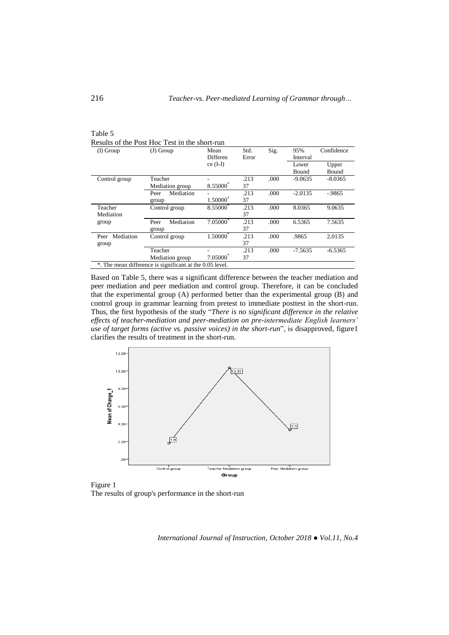| $(I)$ Group       | $(J)$ Group                                              | Mean<br>Differen | Std.<br>Error | Sig. | 95%<br>Interval | Confidence     |
|-------------------|----------------------------------------------------------|------------------|---------------|------|-----------------|----------------|
|                   |                                                          | $ce (I-J)$       |               |      | Lower<br>Bound  | Upper<br>Bound |
| Control group     | Teacher                                                  |                  | .213          | .000 | $-9.0635$       | $-8.0365$      |
|                   | Mediation group                                          | 8.55000          | 37            |      |                 |                |
|                   | Mediation<br>Peer                                        |                  | .213          | .000 | $-2.0135$       | $-9865$        |
|                   | group                                                    | $1.50000^*$      | 37            |      |                 |                |
| Teacher           | Control group                                            | 8.55000          | .213          | .000 | 8.0365          | 9.0635         |
| Mediation         |                                                          |                  | 37            |      |                 |                |
| group             | Mediation<br>Peer                                        | 7.05000          | .213          | .000 | 6.5365          | 7.5635         |
|                   | group                                                    |                  | 37            |      |                 |                |
| Mediation<br>Peer | Control group                                            | 1.50000          | .213          | .000 | .9865           | 2.0135         |
| group             |                                                          |                  | 37            |      |                 |                |
|                   | Teacher                                                  |                  | .213          | .000 | $-7.5635$       | $-6.5365$      |
|                   | Mediation group                                          | $7.05000^*$      | 37            |      |                 |                |
|                   | *. The mean difference is significant at the 0.05 level. |                  |               |      |                 |                |

Table 5 Results of the Post Hoc Test in the short-run

Based on Table 5, there was a significant difference between the teacher mediation and peer mediation and peer mediation and control group. Therefore, it can be concluded that the experimental group (A) performed better than the experimental group (B) and control group in grammar learning from pretest to immediate posttest in the short-run. Thus, the first hypothesis of the study "*There is no significant difference in the relative effects of teacher-mediation and peer-mediation on pre-intermediate English learners' use of target forms (active vs. passive voices) in the short-run*", is disapproved, figure1 clarifies the results of treatment in the short-run.



Figure 1 The results of group's performance in the short-run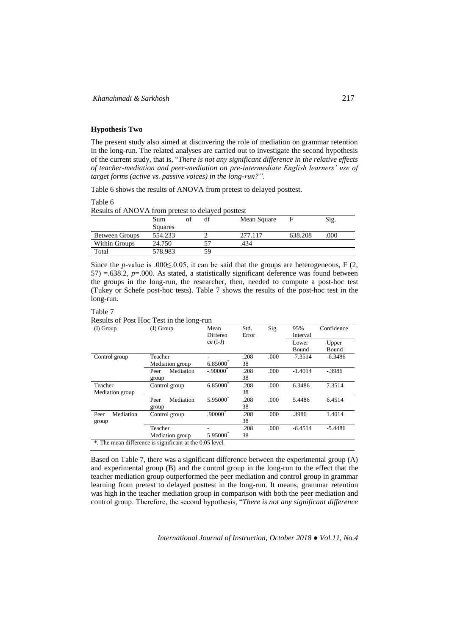# **Hypothesis Two**

The present study also aimed at discovering the role of mediation on grammar retention in the long-run. The related analyses are carried out to investigate the second hypothesis of the current study, that is, "*There is not any significant difference in the relative effects of teacher-mediation and peer-mediation on pre-intermediate English learners' use of target forms (active vs. passive voices) in the long-run?".*

Table 6 shows the results of ANOVA from pretest to delayed posttest.

#### Table 6

Results of ANOVA from pretest to delayed posttest

|                       | Sum     | df | Mean Square |         | Sig. |
|-----------------------|---------|----|-------------|---------|------|
|                       | Squares |    |             |         |      |
| <b>Between Groups</b> | 554.233 |    | 2.77.117    | 638.208 | .000 |
| Within Groups         | 24.750  |    | 434.        |         |      |
| Total                 | 578.983 | 59 |             |         |      |

Since the *p*-value is .000 $\leq$ .0.05, it can be said that the groups are heterogeneous, F (2, 57) =.638.2, *p*=.000. As stated, a statistically significant deference was found between the groups in the long-run, the researcher, then, needed to compute a post-hoc test (Tukey or Schefe post-hoc tests). Table 7 shows the results of the post-hoc test in the long-run.

## Table 7

Results of Post Hoc Test in the long-run

| $(I)$ Group       | $(J)$ Group                                              | Mean                   | Std.  | Sig. | 95%       | Confidence |
|-------------------|----------------------------------------------------------|------------------------|-------|------|-----------|------------|
|                   |                                                          | Differen               | Error |      | Interval  |            |
|                   |                                                          | $ce (I-J)$             |       |      | Lower     | Upper      |
|                   |                                                          |                        |       |      | Bound     | Bound      |
| Control group     | Teacher                                                  |                        | .208  | .000 | $-7.3514$ | $-6.3486$  |
|                   | Mediation group                                          | $6.85000^*$            | 38    |      |           |            |
|                   | Mediation<br>Peer                                        | $-.90000$ <sup>*</sup> | .208  | .000 | $-1.4014$ | $-.3986$   |
|                   | group                                                    |                        | 38    |      |           |            |
| Teacher           | Control group                                            | 6.85000                | .208  | .000 | 6.3486    | 7.3514     |
| Mediation group   |                                                          |                        | 38    |      |           |            |
|                   | Mediation<br>Peer                                        | 5.95000                | .208  | .000 | 5.4486    | 6.4514     |
|                   | group                                                    |                        | 38    |      |           |            |
| Mediation<br>Peer | Control group                                            | .90000                 | .208  | .000 | .3986     | 1.4014     |
| group             |                                                          |                        | 38    |      |           |            |
|                   | Teacher                                                  |                        | .208  | .000 | $-6.4514$ | $-5.4486$  |
|                   | Mediation group                                          | 5.95000                | 38    |      |           |            |
|                   | *. The mean difference is significant at the 0.05 level. |                        |       |      |           |            |

Based on Table 7, there was a significant difference between the experimental group (A) and experimental group (B) and the control group in the long-run to the effect that the teacher mediation group outperformed the peer mediation and control group in grammar learning from pretest to delayed posttest in the long-run. It means, grammar retention was high in the teacher mediation group in comparison with both the peer mediation and control group. Therefore, the second hypothesis, "*There is not any significant difference*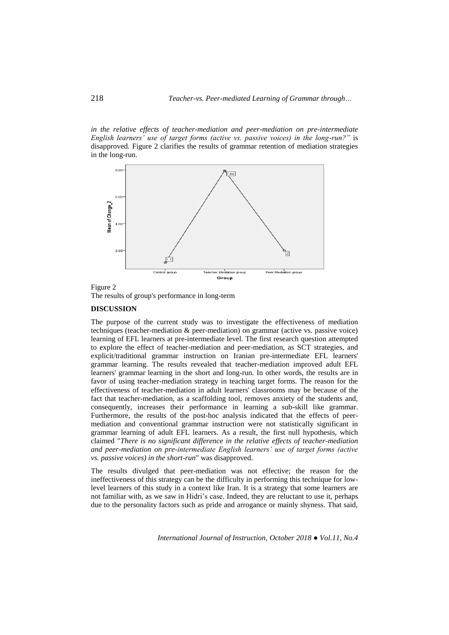*in the relative effects of teacher-mediation and peer-mediation on pre-intermediate English learners' use of target forms (active vs. passive voices) in the long-run?"* is disapproved*.* Figure 2 clarifies the results of grammar retention of mediation strategies in the long-run.





The results of group's performance in long-term

# **DISCUSSION**

The purpose of the current study was to investigate the effectiveness of mediation techniques (teacher-mediation & peer-mediation) on grammar (active vs. passive voice) learning of EFL learners at pre-intermediate level. The first research question attempted to explore the effect of teacher-mediation and peer-mediation, as SCT strategies, and explicit/traditional grammar instruction on Iranian pre-intermediate EFL learners' grammar learning. The results revealed that teacher-mediation improved adult EFL learners' grammar learning in the short and long-run. In other words, the results are in favor of using teacher-mediation strategy in teaching target forms. The reason for the effectiveness of teacher-mediation in adult learners' classrooms may be because of the fact that teacher-mediation, as a scaffolding tool, removes anxiety of the students and, consequently, increases their performance in learning a sub-skill like grammar. Furthermore, the results of the post-hoc analysis indicated that the effects of peermediation and conventional grammar instruction were not statistically significant in grammar learning of adult EFL learners. As a result, the first null hypothesis, which claimed "*There is no significant difference in the relative effects of teacher-mediation and peer-mediation on pre-intermediate English learners' use of target forms (active vs. passive voices) in the short-run*" was disapproved.

The results divulged that peer-mediation was not effective; the reason for the ineffectiveness of this strategy can be the difficulty in performing this technique for lowlevel learners of this study in a context like Iran. It is a strategy that some learners are not familiar with, as we saw in Hidri's case. Indeed, they are reluctant to use it, perhaps due to the personality factors such as pride and arrogance or mainly shyness. That said,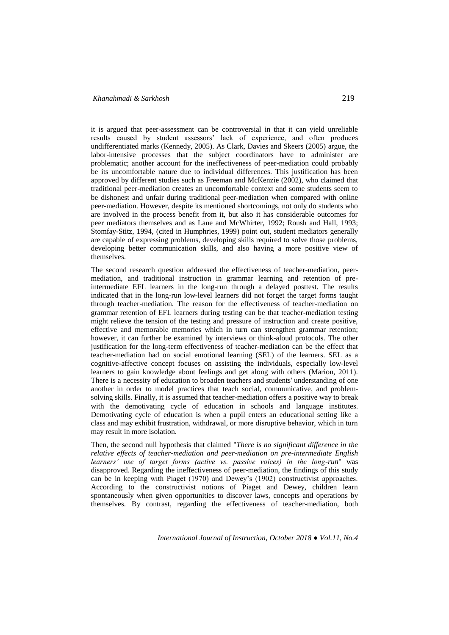# *Khanahmadi & Sarkhosh* 219

it is argued that peer-assessment can be controversial in that it can yield unreliable results caused by student assessors' lack of experience, and often produces undifferentiated marks (Kennedy, 2005). As Clark, Davies and Skeers (2005) argue, the labor-intensive processes that the subject coordinators have to administer are problematic; another account for the ineffectiveness of peer-mediation could probably be its uncomfortable nature due to individual differences. This justification has been approved by different studies such as Freeman and McKenzie (2002), who claimed that traditional peer-mediation creates an uncomfortable context and some students seem to be dishonest and unfair during traditional peer-mediation when compared with online peer-mediation. However, despite its mentioned shortcomings, not only do students who are involved in the process benefit from it, but also it has considerable outcomes for peer mediators themselves and as Lane and McWhirter, 1992; Roush and Hall, 1993; Stomfay-Stitz, 1994, (cited in Humphries, 1999) point out, student mediators generally are capable of expressing problems, developing skills required to solve those problems, developing better communication skills, and also having a more positive view of themselves.

The second research question addressed the effectiveness of teacher-mediation, peermediation, and traditional instruction in grammar learning and retention of preintermediate EFL learners in the long-run through a delayed posttest. The results indicated that in the long-run low-level learners did not forget the target forms taught through teacher-mediation. The reason for the effectiveness of teacher-mediation on grammar retention of EFL learners during testing can be that teacher-mediation testing might relieve the tension of the testing and pressure of instruction and create positive, effective and memorable memories which in turn can strengthen grammar retention; however, it can further be examined by interviews or think-aloud protocols. The other justification for the long-term effectiveness of teacher-mediation can be the effect that teacher-mediation had on social emotional learning (SEL) of the learners. SEL as a cognitive-affective concept focuses on assisting the individuals, especially low-level learners to gain knowledge about feelings and get along with others (Marion, 2011). There is a necessity of education to broaden teachers and students' understanding of one another in order to model practices that teach social, communicative, and problemsolving skills. Finally, it is assumed that teacher-mediation offers a positive way to break with the demotivating cycle of education in schools and language institutes. Demotivating cycle of education is when a pupil enters an educational setting like a class and may exhibit frustration, withdrawal, or more disruptive behavior, which in turn may result in more isolation.

Then, the second null hypothesis that claimed "*There is no significant difference in the relative effects of teacher-mediation and peer-mediation on pre-intermediate English learners' use of target forms (active vs. passive voices) in the long-run*" was disapproved. Regarding the ineffectiveness of peer-mediation, the findings of this study can be in keeping with Piaget (1970) and Dewey's (1902) constructivist approaches. According to the constructivist notions of Piaget and Dewey, children learn spontaneously when given opportunities to discover laws, concepts and operations by themselves. By contrast, regarding the effectiveness of teacher-mediation, both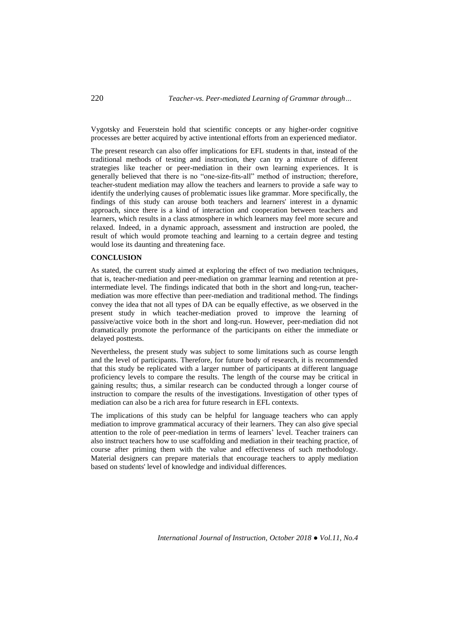Vygotsky and Feuerstein hold that scientific concepts or any higher-order cognitive processes are better acquired by active intentional efforts from an experienced mediator.

The present research can also offer implications for EFL students in that, instead of the traditional methods of testing and instruction, they can try a mixture of different strategies like teacher or peer-mediation in their own learning experiences. It is generally believed that there is no "one-size-fits-all" method of instruction; therefore, teacher-student mediation may allow the teachers and learners to provide a safe way to identify the underlying causes of problematic issues like grammar. More specifically, the findings of this study can arouse both teachers and learners' interest in a dynamic approach, since there is a kind of interaction and cooperation between teachers and learners, which results in a class atmosphere in which learners may feel more secure and relaxed. Indeed, in a dynamic approach, assessment and instruction are pooled, the result of which would promote teaching and learning to a certain degree and testing would lose its daunting and threatening face.

## **CONCLUSION**

As stated, the current study aimed at exploring the effect of two mediation techniques, that is, teacher-mediation and peer-mediation on grammar learning and retention at preintermediate level. The findings indicated that both in the short and long-run, teachermediation was more effective than peer-mediation and traditional method. The findings convey the idea that not all types of DA can be equally effective, as we observed in the present study in which teacher-mediation proved to improve the learning of passive/active voice both in the short and long-run. However, peer-mediation did not dramatically promote the performance of the participants on either the immediate or delayed posttests.

Nevertheless, the present study was subject to some limitations such as course length and the level of participants. Therefore, for future body of research, it is recommended that this study be replicated with a larger number of participants at different language proficiency levels to compare the results. The length of the course may be critical in gaining results; thus, a similar research can be conducted through a longer course of instruction to compare the results of the investigations. Investigation of other types of mediation can also be a rich area for future research in EFL contexts.

The implications of this study can be helpful for language teachers who can apply mediation to improve grammatical accuracy of their learners. They can also give special attention to the role of peer-mediation in terms of learners' level. Teacher trainers can also instruct teachers how to use scaffolding and mediation in their teaching practice, of course after priming them with the value and effectiveness of such methodology. Material designers can prepare materials that encourage teachers to apply mediation based on students' level of knowledge and individual differences.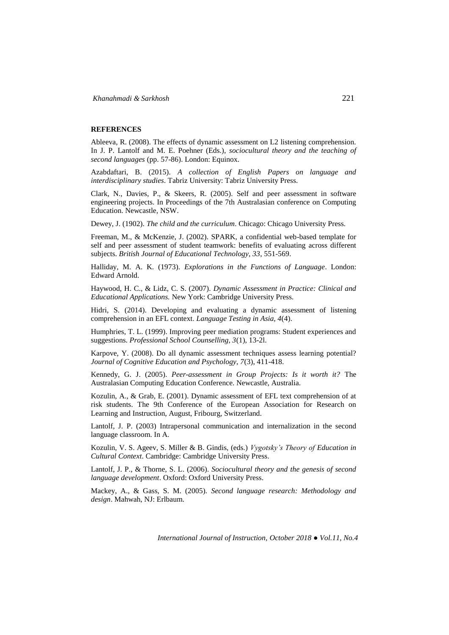# **REFERENCES**

Ableeva, R. (2008). The effects of dynamic assessment on L2 listening comprehension. In J. P. Lantolf and M. E. Poehner (Eds.), *sociocultural theory and the teaching of second languages* (pp. 57-86). London: Equinox.

Azabdaftari, B. (2015). *A collection of English Papers on language and interdisciplinary studies*. Tabriz University: Tabriz University Press.

Clark, N., Davies, P., & Skeers, R. (2005). Self and peer assessment in software engineering projects. In Proceedings of the 7th Australasian conference on Computing Education. Newcastle, NSW.

Dewey, J. (1902). *The child and the curriculum*. Chicago: Chicago University Press.

Freeman, M., & McKenzie, J. (2002). SPARK, a confidential web-based template for self and peer assessment of student teamwork: benefits of evaluating across different subjects. *British Journal of Educational Technology, 33*, 551-569.

Halliday, M. A. K. (1973). *Explorations in the Functions of Language*. London: Edward Arnold.

Haywood, H. C., & Lidz, C. S. (2007). *Dynamic Assessment in Practice: Clinical and Educational Applications.* New York: Cambridge University Press.

Hidri, S. (2014). Developing and evaluating a dynamic assessment of listening comprehension in an EFL context. *Language Testing in Asia, 4*(4).

Humphries, T. L. (1999). Improving peer mediation programs: Student experiences and suggestions. *Professional School Counselling, 3*(1), 13-2l.

Karpove, Y. (2008). Do all dynamic assessment techniques assess learning potential? *Journal of Cognitive Education and Psychology, 7*(3), 411-418.

Kennedy, G. J. (2005). *Peer-assessment in Group Projects: Is it worth it?* The Australasian Computing Education Conference. Newcastle, Australia.

Kozulin, A., & Grab, E. (2001). Dynamic assessment of EFL text comprehension of at risk students. The 9th Conference of the European Association for Research on Learning and Instruction, August, Fribourg, Switzerland.

Lantolf, J. P. (2003) Intrapersonal communication and internalization in the second language classroom. In A.

Kozulin, V. S. Ageev, S. Miller & B. Gindis, (eds.) *Vygotsky's Theory of Education in Cultural Context*. Cambridge: Cambridge University Press.

Lantolf, J. P., & Thorne, S. L. (2006). *Sociocultural theory and the genesis of second language development*. Oxford: Oxford University Press.

Mackey, A., & Gass, S. M. (2005). *Second language research: Methodology and design*. Mahwah, NJ: Erlbaum.